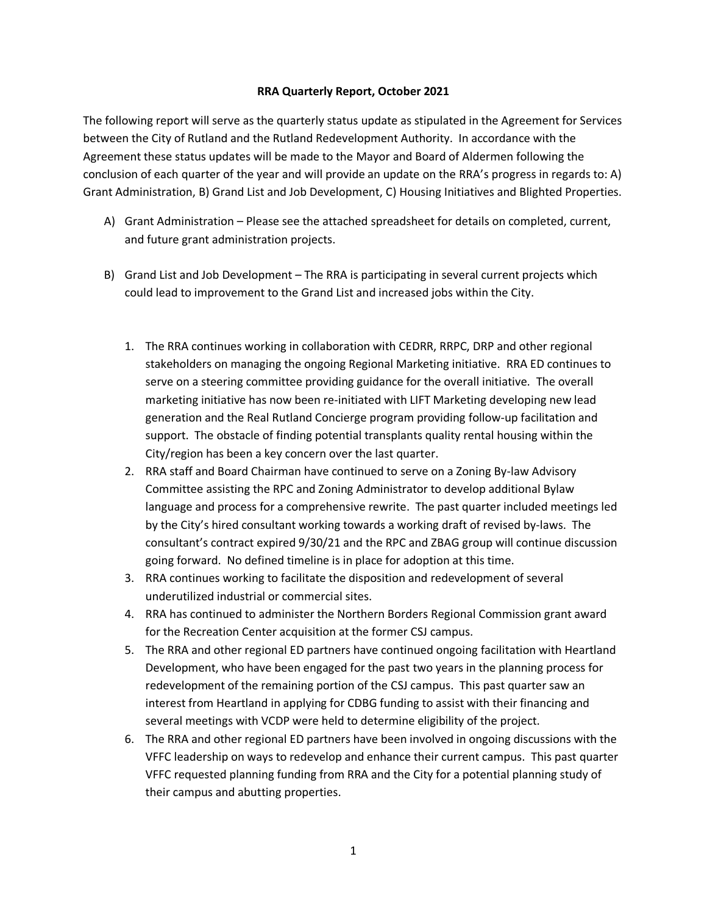## **RRA Quarterly Report, October 2021**

The following report will serve as the quarterly status update as stipulated in the Agreement for Services between the City of Rutland and the Rutland Redevelopment Authority. In accordance with the Agreement these status updates will be made to the Mayor and Board of Aldermen following the conclusion of each quarter of the year and will provide an update on the RRA's progress in regards to: A) Grant Administration, B) Grand List and Job Development, C) Housing Initiatives and Blighted Properties.

- A) Grant Administration Please see the attached spreadsheet for details on completed, current, and future grant administration projects.
- B) Grand List and Job Development The RRA is participating in several current projects which could lead to improvement to the Grand List and increased jobs within the City.
	- 1. The RRA continues working in collaboration with CEDRR, RRPC, DRP and other regional stakeholders on managing the ongoing Regional Marketing initiative. RRA ED continues to serve on a steering committee providing guidance for the overall initiative. The overall marketing initiative has now been re-initiated with LIFT Marketing developing new lead generation and the Real Rutland Concierge program providing follow-up facilitation and support. The obstacle of finding potential transplants quality rental housing within the City/region has been a key concern over the last quarter.
	- 2. RRA staff and Board Chairman have continued to serve on a Zoning By-law Advisory Committee assisting the RPC and Zoning Administrator to develop additional Bylaw language and process for a comprehensive rewrite. The past quarter included meetings led by the City's hired consultant working towards a working draft of revised by-laws. The consultant's contract expired 9/30/21 and the RPC and ZBAG group will continue discussion going forward. No defined timeline is in place for adoption at this time.
	- 3. RRA continues working to facilitate the disposition and redevelopment of several underutilized industrial or commercial sites.
	- 4. RRA has continued to administer the Northern Borders Regional Commission grant award for the Recreation Center acquisition at the former CSJ campus.
	- 5. The RRA and other regional ED partners have continued ongoing facilitation with Heartland Development, who have been engaged for the past two years in the planning process for redevelopment of the remaining portion of the CSJ campus. This past quarter saw an interest from Heartland in applying for CDBG funding to assist with their financing and several meetings with VCDP were held to determine eligibility of the project.
	- 6. The RRA and other regional ED partners have been involved in ongoing discussions with the VFFC leadership on ways to redevelop and enhance their current campus. This past quarter VFFC requested planning funding from RRA and the City for a potential planning study of their campus and abutting properties.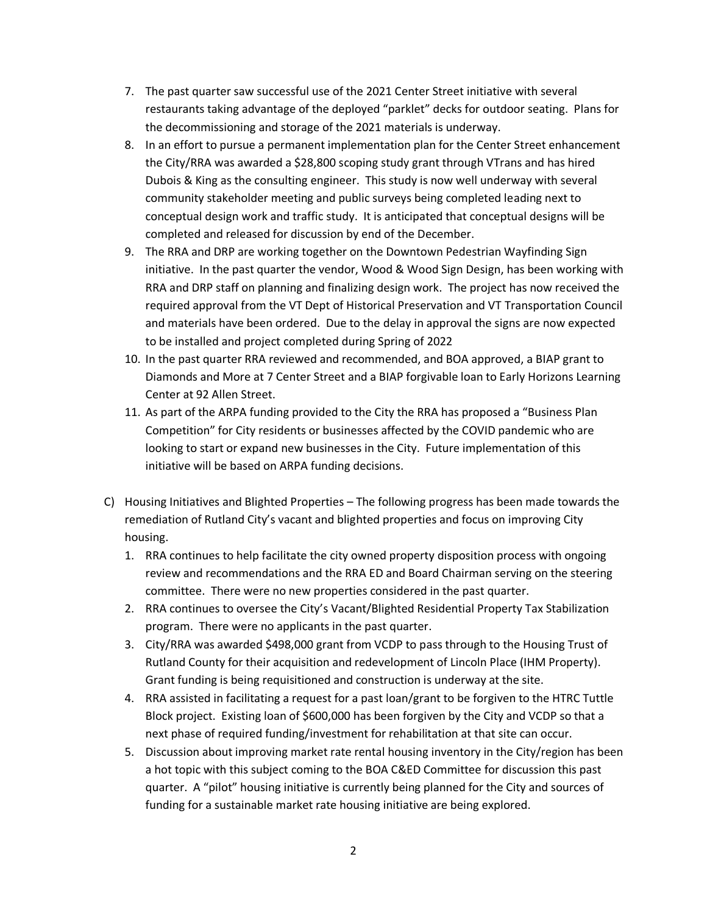- 7. The past quarter saw successful use of the 2021 Center Street initiative with several restaurants taking advantage of the deployed "parklet" decks for outdoor seating. Plans for the decommissioning and storage of the 2021 materials is underway.
- 8. In an effort to pursue a permanent implementation plan for the Center Street enhancement the City/RRA was awarded a \$28,800 scoping study grant through VTrans and has hired Dubois & King as the consulting engineer. This study is now well underway with several community stakeholder meeting and public surveys being completed leading next to conceptual design work and traffic study. It is anticipated that conceptual designs will be completed and released for discussion by end of the December.
- 9. The RRA and DRP are working together on the Downtown Pedestrian Wayfinding Sign initiative. In the past quarter the vendor, Wood & Wood Sign Design, has been working with RRA and DRP staff on planning and finalizing design work. The project has now received the required approval from the VT Dept of Historical Preservation and VT Transportation Council and materials have been ordered. Due to the delay in approval the signs are now expected to be installed and project completed during Spring of 2022
- 10. In the past quarter RRA reviewed and recommended, and BOA approved, a BIAP grant to Diamonds and More at 7 Center Street and a BIAP forgivable loan to Early Horizons Learning Center at 92 Allen Street.
- 11. As part of the ARPA funding provided to the City the RRA has proposed a "Business Plan Competition" for City residents or businesses affected by the COVID pandemic who are looking to start or expand new businesses in the City. Future implementation of this initiative will be based on ARPA funding decisions.
- C) Housing Initiatives and Blighted Properties The following progress has been made towards the remediation of Rutland City's vacant and blighted properties and focus on improving City housing.
	- 1. RRA continues to help facilitate the city owned property disposition process with ongoing review and recommendations and the RRA ED and Board Chairman serving on the steering committee. There were no new properties considered in the past quarter.
	- 2. RRA continues to oversee the City's Vacant/Blighted Residential Property Tax Stabilization program. There were no applicants in the past quarter.
	- 3. City/RRA was awarded \$498,000 grant from VCDP to pass through to the Housing Trust of Rutland County for their acquisition and redevelopment of Lincoln Place (IHM Property). Grant funding is being requisitioned and construction is underway at the site.
	- 4. RRA assisted in facilitating a request for a past loan/grant to be forgiven to the HTRC Tuttle Block project. Existing loan of \$600,000 has been forgiven by the City and VCDP so that a next phase of required funding/investment for rehabilitation at that site can occur.
	- 5. Discussion about improving market rate rental housing inventory in the City/region has been a hot topic with this subject coming to the BOA C&ED Committee for discussion this past quarter. A "pilot" housing initiative is currently being planned for the City and sources of funding for a sustainable market rate housing initiative are being explored.